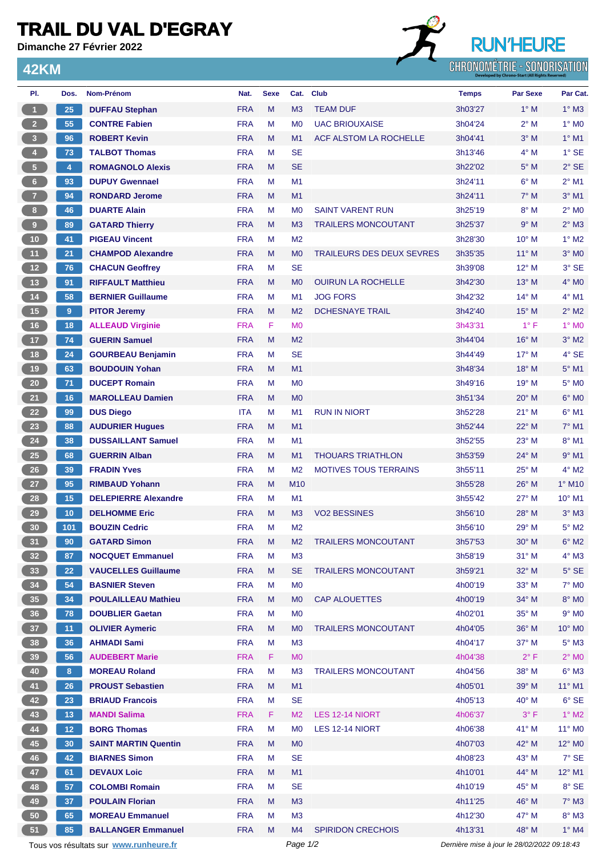## **TRAIL DU VAL D'EGRAY**

**Dimanche 27 Février 2022**

**42KM**



| PI.                                    | Dos.           | Nom-Prénom                  | Nat.       | <b>Sexe</b> | Cat.            | <b>Club</b>                      | <b>Temps</b>                                | <b>Par Sexe</b> | Par Cat.                   |
|----------------------------------------|----------------|-----------------------------|------------|-------------|-----------------|----------------------------------|---------------------------------------------|-----------------|----------------------------|
| 1                                      | 25             | <b>DUFFAU Stephan</b>       | <b>FRA</b> | M           | M <sub>3</sub>  | <b>TEAM DUF</b>                  | 3h03'27                                     | $1^\circ$ M     | $1^\circ$ M3               |
| $\overline{2}$                         | 55             | <b>CONTRE Fabien</b>        | <b>FRA</b> | М           | M <sub>0</sub>  | <b>UAC BRIOUXAISE</b>            | 3h04'24                                     | $2^{\circ}$ M   | $1^\circ$ MO               |
| $\overline{\mathbf{3}}$                | 96             | <b>ROBERT Kevin</b>         | <b>FRA</b> | M           | M1              | ACF ALSTOM LA ROCHELLE           | 3h04'41                                     | $3^\circ$ M     | $1°$ M1                    |
| $\overline{4}$                         | 73             | <b>TALBOT Thomas</b>        | <b>FRA</b> | M           | <b>SE</b>       |                                  | 3h13'46                                     | $4^\circ$ M     | $1°$ SE                    |
| $\sqrt{5}$                             | $\overline{4}$ | <b>ROMAGNOLO Alexis</b>     | <b>FRA</b> | M           | <b>SE</b>       |                                  | 3h22'02                                     | $5^\circ$ M     | $2°$ SE                    |
| 6 <sup>1</sup>                         | 93             | <b>DUPUY Gwennael</b>       | <b>FRA</b> | М           | M1              |                                  | 3h24'11                                     | $6^\circ$ M     | $2^{\circ}$ M1             |
| $\overline{7}$                         | 94             | <b>RONDARD Jerome</b>       | <b>FRA</b> | M           | M <sub>1</sub>  |                                  | 3h24'11                                     | $7^\circ$ M     | $3°$ M1                    |
| 8                                      | 46             | <b>DUARTE Alain</b>         | <b>FRA</b> | М           | M <sub>0</sub>  | <b>SAINT VARENT RUN</b>          | 3h25'19                                     | $8^\circ$ M     | $2^{\circ}$ M <sub>0</sub> |
| 9                                      | 89             | <b>GATARD Thierry</b>       | <b>FRA</b> | M           | M <sub>3</sub>  | <b>TRAILERS MONCOUTANT</b>       | 3h25'37                                     | 9° M            | $2^{\circ}$ M3             |
| 10                                     | 41             | <b>PIGEAU Vincent</b>       | <b>FRA</b> | M           | M <sub>2</sub>  |                                  | 3h28'30                                     | 10° M           | $1^\circ$ M2               |
| 11                                     | 21             | <b>CHAMPOD Alexandre</b>    | <b>FRA</b> | M           | M <sub>0</sub>  | <b>TRAILEURS DES DEUX SEVRES</b> | 3h35'35                                     | $11^{\circ}$ M  | $3°$ MO                    |
| $12$                                   | 76             | <b>CHACUN Geoffrey</b>      | <b>FRA</b> | М           | <b>SE</b>       |                                  | 3h39'08                                     | 12° M           | 3° SE                      |
| 13                                     | 91             | <b>RIFFAULT Matthieu</b>    | <b>FRA</b> | M           | M <sub>0</sub>  | <b>OUIRUN LA ROCHELLE</b>        | 3h42'30                                     | $13^{\circ}$ M  | $4^\circ$ MO               |
| $14$                                   | 58             | <b>BERNIER Guillaume</b>    | <b>FRA</b> | M           | M1              | <b>JOG FORS</b>                  | 3h42'32                                     | $14^{\circ}$ M  | $4^{\circ}$ M1             |
| 15                                     | $\overline{9}$ | <b>PITOR Jeremy</b>         | <b>FRA</b> | M           | M <sub>2</sub>  | <b>DCHESNAYE TRAIL</b>           | 3h42'40                                     | $15^{\circ}$ M  | $2^{\circ}$ M2             |
| 16                                     | 18             | <b>ALLEAUD Virginie</b>     | <b>FRA</b> | F           | M <sub>0</sub>  |                                  | 3h43'31                                     | $1^{\circ}$ F   | $1^\circ$ MO               |
| 17 <sup>2</sup>                        | 74             | <b>GUERIN Samuel</b>        | <b>FRA</b> | M           | M <sub>2</sub>  |                                  | 3h44'04                                     | $16^{\circ}$ M  | $3°$ M2                    |
| 18                                     | 24             | <b>GOURBEAU Benjamin</b>    | <b>FRA</b> | М           | <b>SE</b>       |                                  | 3h44'49                                     | $17^{\circ}$ M  | $4°$ SE                    |
| 19                                     | 63             | <b>BOUDOUIN Yohan</b>       | <b>FRA</b> | M           | M <sub>1</sub>  |                                  | 3h48'34                                     | $18^{\circ}$ M  | $5^{\circ}$ M1             |
| $20\,$                                 | 71             | <b>DUCEPT Romain</b>        | <b>FRA</b> | М           | M <sub>0</sub>  |                                  | 3h49'16                                     | 19° M           | 5° M <sub>0</sub>          |
|                                        |                |                             |            |             |                 |                                  |                                             |                 |                            |
| 21                                     | 16             | <b>MAROLLEAU Damien</b>     | <b>FRA</b> | M           | M <sub>0</sub>  |                                  | 3h51'34                                     | $20^\circ$ M    | $6^\circ$ MO               |
| 22                                     | 99             | <b>DUS Diego</b>            | <b>ITA</b> | м           | M1              | <b>RUN IN NIORT</b>              | 3h52'28                                     | $21°$ M         | $6^{\circ}$ M1             |
| 23                                     | 88             | <b>AUDURIER Hugues</b>      | <b>FRA</b> | M           | M1              |                                  | 3h52'44                                     | 22° M           | $7°$ M1                    |
| 24                                     | 38             | <b>DUSSAILLANT Samuel</b>   | <b>FRA</b> | М           | M1              |                                  | 3h52'55                                     | $23^\circ$ M    | 8° M1                      |
| 25                                     | 68             | <b>GUERRIN Alban</b>        | <b>FRA</b> | M           | M <sub>1</sub>  | <b>THOUARS TRIATHLON</b>         | 3h53'59                                     | 24° M           | $9°$ M1                    |
| 26                                     | 39             | <b>FRADIN Yves</b>          | <b>FRA</b> | М           | M <sub>2</sub>  | <b>MOTIVES TOUS TERRAINS</b>     | 3h55'11                                     | $25^{\circ}$ M  | $4^{\circ}$ M2             |
| $27\,$                                 | 95             | <b>RIMBAUD Yohann</b>       | <b>FRA</b> | M           | M <sub>10</sub> |                                  | 3h55'28                                     | $26^{\circ}$ M  | 1° M10                     |
| 28                                     | 15             | <b>DELEPIERRE Alexandre</b> | <b>FRA</b> | М           | M <sub>1</sub>  |                                  | 3h55'42                                     | $27^\circ$ M    | $10^{\circ}$ M1            |
| 29                                     | 10             | <b>DELHOMME Eric</b>        | <b>FRA</b> | M           | M3              | <b>VO2 BESSINES</b>              | 3h56'10                                     | $28^\circ$ M    | $3^\circ$ M3               |
| 30                                     | 101            | <b>BOUZIN Cedric</b>        | <b>FRA</b> | М           | M <sub>2</sub>  |                                  | 3h56'10                                     | $29^{\circ}$ M  | 5° M2                      |
| 31)                                    | 90             | <b>GATARD Simon</b>         | <b>FRA</b> | м           | M <sub>2</sub>  | <b>TRAILERS MONCOUTANT</b>       | 3h57'53                                     | $30^\circ$ M    | $6^\circ$ M2               |
| 32 <sub>2</sub>                        | 87             | <b>NOCQUET Emmanuel</b>     | <b>FRA</b> | M           | M <sub>3</sub>  |                                  | 3h58'19                                     | $31^\circ$ M    | $4^\circ$ M3               |
| 33                                     | 22             | <b>VAUCELLES Guillaume</b>  | <b>FRA</b> | M           | <b>SE</b>       | <b>TRAILERS MONCOUTANT</b>       | 3h59'21                                     | $32^\circ$ M    | $5^\circ$ SE               |
| 34                                     | 54             | <b>BASNIER Steven</b>       | <b>FRA</b> | М           | M <sub>0</sub>  |                                  | 4h00'19                                     | $33^\circ$ M    | $7^\circ$ M <sub>0</sub>   |
| 35                                     | 34             | <b>POULAILLEAU Mathieu</b>  | <b>FRA</b> | M           | M <sub>0</sub>  | <b>CAP ALOUETTES</b>             | 4h00'19                                     | 34° M           | $8^\circ$ MO               |
| 36                                     | 78             | <b>DOUBLIER Gaetan</b>      | <b>FRA</b> | M           | M <sub>0</sub>  |                                  | 4h02'01                                     | 35° M           | $9°$ MO                    |
| 37                                     | 11             | <b>OLIVIER Aymeric</b>      | <b>FRA</b> | M           | M <sub>0</sub>  | <b>TRAILERS MONCOUTANT</b>       | 4h04'05                                     | 36° M           | $10^{\circ}$ MO            |
| 38                                     | 36             | <b>AHMADI Sami</b>          | <b>FRA</b> | M           | M <sub>3</sub>  |                                  | 4h04'17                                     | 37° M           | $5^\circ$ M3               |
| 39                                     | 56             | <b>AUDEBERT Marie</b>       | <b>FRA</b> | F.          | M <sub>0</sub>  |                                  | 4h04'38                                     | $2^{\circ}$ F   | $2^{\circ}$ MO             |
| 40                                     | 8              | <b>MOREAU Roland</b>        | <b>FRA</b> | M           | M <sub>3</sub>  | <b>TRAILERS MONCOUTANT</b>       | 4h04'56                                     | 38° M           | $6^\circ$ M3               |
| 41                                     | 26             | <b>PROUST Sebastien</b>     | <b>FRA</b> | M           | M1              |                                  | 4h05'01                                     | 39° M           | $11^{\circ}$ M1            |
| 42                                     | 23             | <b>BRIAUD Francois</b>      | <b>FRA</b> | M           | <b>SE</b>       |                                  | 4h05'13                                     | $40^{\circ}$ M  | 6° SE                      |
| 43                                     | 13             | <b>MANDI Salima</b>         | <b>FRA</b> | F.          | M <sub>2</sub>  | LES 12-14 NIORT                  | 4h06'37                                     | $3^{\circ}$ F   | $1^\circ$ M2               |
| 44                                     | 12             | <b>BORG Thomas</b>          | <b>FRA</b> | M           | M <sub>0</sub>  | LES 12-14 NIORT                  | 4h06'38                                     | 41° M           | 11° MO                     |
| 45                                     | 30             | <b>SAINT MARTIN Quentin</b> | <b>FRA</b> | M           | M <sub>0</sub>  |                                  | 4h07'03                                     | 42° M           | $12^{\circ}$ MO            |
| 46                                     | 42             | <b>BIARNES Simon</b>        | <b>FRA</b> | Μ           | <b>SE</b>       |                                  | 4h08'23                                     | 43° M           | $7^\circ$ SE               |
| 47                                     | 61             | <b>DEVAUX Loic</b>          | <b>FRA</b> | M           | M1              |                                  | 4h10'01                                     | 44° M           | 12° M1                     |
| 48                                     | 57             | <b>COLOMBI Romain</b>       | <b>FRA</b> | Μ           | <b>SE</b>       |                                  | 4h10'19                                     | 45° M           | $8°$ SE                    |
| 49                                     | 37             | <b>POULAIN Florian</b>      | <b>FRA</b> | M           | M3              |                                  | 4h11'25                                     | 46° M           | $7^\circ$ M3               |
| 50                                     | 65             | <b>MOREAU Emmanuel</b>      | <b>FRA</b> | M           | M <sub>3</sub>  |                                  | 4h12'30                                     | 47° M           | $8^\circ$ M3               |
| 51                                     | 85             | <b>BALLANGER Emmanuel</b>   | <b>FRA</b> | M           | M4              | <b>SPIRIDON CRECHOIS</b>         | 4h13'31                                     | 48° M           | $1^\circ$ M4               |
| Tous vos résultats sur www.runheure.fr |                |                             | Page 1/2   |             |                 |                                  | Dernière mise à jour le 28/02/2022 09:18:43 |                 |                            |